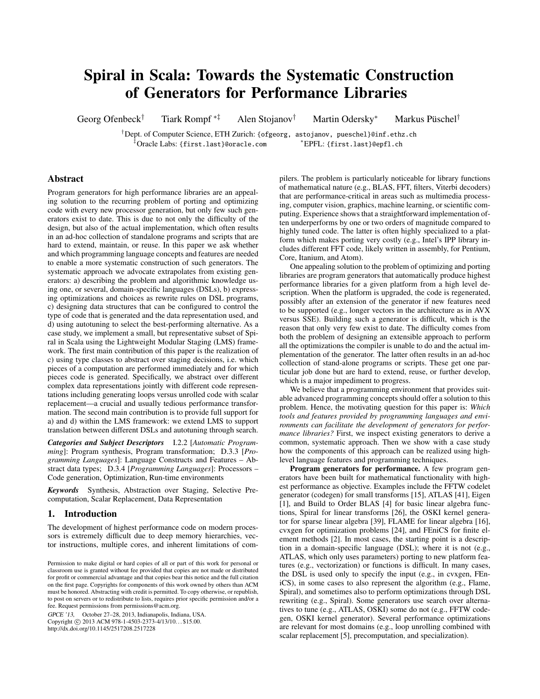# Spiral in Scala: Towards the Systematic Construction of Generators for Performance Libraries

Georg Ofenbeck† Tiark Rompf ∗‡ Alen Stojanov† Martin Odersky<sup>∗</sup> Markus Püschel†

†Dept. of Computer Science, ETH Zurich: {ofgeorg, astojanov, pueschel}@inf.ethz.ch ‡Oracle Labs: {first.last}@oracle.com <sup>∗</sup>EPFL: {first.last}@epfl.ch

# Abstract

Program generators for high performance libraries are an appealing solution to the recurring problem of porting and optimizing code with every new processor generation, but only few such generators exist to date. This is due to not only the difficulty of the design, but also of the actual implementation, which often results in an ad-hoc collection of standalone programs and scripts that are hard to extend, maintain, or reuse. In this paper we ask whether and which programming language concepts and features are needed to enable a more systematic construction of such generators. The systematic approach we advocate extrapolates from existing generators: a) describing the problem and algorithmic knowledge using one, or several, domain-specific languages (DSLs), b) expressing optimizations and choices as rewrite rules on DSL programs, c) designing data structures that can be configured to control the type of code that is generated and the data representation used, and d) using autotuning to select the best-performing alternative. As a case study, we implement a small, but representative subset of Spiral in Scala using the Lightweight Modular Staging (LMS) framework. The first main contribution of this paper is the realization of c) using type classes to abstract over staging decisions, i.e. which pieces of a computation are performed immediately and for which pieces code is generated. Specifically, we abstract over different complex data representations jointly with different code representations including generating loops versus unrolled code with scalar replacement—a crucial and usually tedious performance transformation. The second main contribution is to provide full support for a) and d) within the LMS framework: we extend LMS to support translation between different DSLs and autotuning through search.

*Categories and Subject Descriptors* I.2.2 [*Automatic Programming*]: Program synthesis, Program transformation; D.3.3 [*Programming Languages*]: Language Constructs and Features – Abstract data types; D.3.4 [*Programming Languages*]: Processors – Code generation, Optimization, Run-time environments

*Keywords* Synthesis, Abstraction over Staging, Selective Precomputation, Scalar Replacement, Data Representation

#### <span id="page-0-0"></span>1. Introduction

The development of highest performance code on modern processors is extremely difficult due to deep memory hierarchies, vector instructions, multiple cores, and inherent limitations of com-

GPCE '13, October 27–28, 2013, Indianapolis, Indiana, USA. Copyright © 2013 ACM 978-1-4503-2373-4/13/10... \$15.00. http://dx.doi.org/10.1145/2517208.2517228

pilers. The problem is particularly noticeable for library functions of mathematical nature (e.g., BLAS, FFT, filters, Viterbi decoders) that are performance-critical in areas such as multimedia processing, computer vision, graphics, machine learning, or scientific computing. Experience shows that a straightforward implementation often underperforms by one or two orders of magnitude compared to highly tuned code. The latter is often highly specialized to a platform which makes porting very costly (e.g., Intel's IPP library includes different FFT code, likely written in assembly, for Pentium, Core, Itanium, and Atom).

One appealing solution to the problem of optimizing and porting libraries are program generators that automatically produce highest performance libraries for a given platform from a high level description. When the platform is upgraded, the code is regenerated, possibly after an extension of the generator if new features need to be supported (e.g., longer vectors in the architecture as in AVX versus SSE). Building such a generator is difficult, which is the reason that only very few exist to date. The difficulty comes from both the problem of designing an extensible approach to perform all the optimizations the compiler is unable to do and the actual implementation of the generator. The latter often results in an ad-hoc collection of stand-alone programs or scripts. These get one particular job done but are hard to extend, reuse, or further develop, which is a major impediment to progress.

We believe that a programming environment that provides suitable advanced programming concepts should offer a solution to this problem. Hence, the motivating question for this paper is: *Which tools and features provided by programming languages and environments can facilitate the development of generators for performance libraries?* First, we inspect existing generators to derive a common, systematic approach. Then we show with a case study how the components of this approach can be realized using highlevel language features and programming techniques.

Program generators for performance. A few program generators have been built for mathematical functionality with highest performance as objective. Examples include the FFTW codelet generator (codegen) for small transforms [\[15\]](#page-9-0), ATLAS [\[41\]](#page-9-1), Eigen [\[1\]](#page-9-2), and Build to Order BLAS [\[4\]](#page-9-3) for basic linear algebra functions, Spiral for linear transforms [\[26\]](#page-9-4), the OSKI kernel generator for sparse linear algebra [\[39\]](#page-9-5), FLAME for linear algebra [\[16\]](#page-9-6), cvxgen for optimization problems [\[24\]](#page-9-7), and FEniCS for finite element methods [\[2\]](#page-9-8). In most cases, the starting point is a description in a domain-specific language (DSL); where it is not (e.g., ATLAS, which only uses parameters) porting to new platform features (e.g., vectorization) or functions is difficult. In many cases, the DSL is used only to specify the input (e.g., in cvxgen, FEniCS), in some cases to also represent the algorithm (e.g., Flame, Spiral), and sometimes also to perform optimizations through DSL rewriting (e.g., Spiral). Some generators use search over alternatives to tune (e.g., ATLAS, OSKI) some do not (e.g., FFTW codegen, OSKI kernel generator). Several performance optimizations are relevant for most domains (e.g., loop unrolling combined with scalar replacement [\[5\]](#page-9-9), precomputation, and specialization).

Permission to make digital or hard copies of all or part of this work for personal or classroom use is granted without fee provided that copies are not made or distributed for profit or commercial advantage and that copies bear this notice and the full citation on the first page. Copyrights for components of this work owned by others than ACM must be honored. Abstracting with credit is permitted. To copy otherwise, or republish, to post on servers or to redistribute to lists, requires prior specific permission and/or a fee. Request permissions from permissions@acm.org.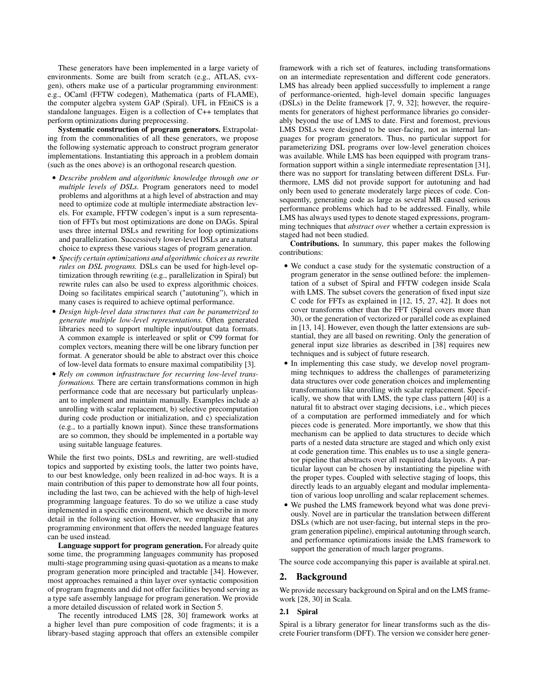These generators have been implemented in a large variety of environments. Some are built from scratch (e.g., ATLAS, cvxgen), others make use of a particular programming environment: e.g., OCaml (FFTW codegen), Mathematica (parts of FLAME), the computer algebra system GAP (Spiral). UFL in FEniCS is a standalone languages. Eigen is a collection of C++ templates that perform optimizations during preprocessing.

Systematic construction of program generators. Extrapolating from the commonalities of all these generators, we propose the following systematic approach to construct program generator implementations. Instantiating this approach in a problem domain (such as the ones above) is an orthogonal research question.

- *Describe problem and algorithmic knowledge through one or multiple levels of DSLs.* Program generators need to model problems and algorithms at a high level of abstraction and may need to optimize code at multiple intermediate abstraction levels. For example, FFTW codegen's input is a sum representation of FFTs but most optimizations are done on DAGs. Spiral uses three internal DSLs and rewriting for loop optimizations and parallelization. Successively lower-level DSLs are a natural choice to express these various stages of program generation.
- *Specify certain optimizations and algorithmic choices as rewrite rules on DSL programs.* DSLs can be used for high-level optimization through rewriting (e.g., parallelization in Spiral) but rewrite rules can also be used to express algorithmic choices. Doing so facilitates empirical search ("autotuning"), which in many cases is required to achieve optimal performance.
- *Design high-level data structures that can be parametrized to generate multiple low-level representations.* Often generated libraries need to support multiple input/output data formats. A common example is interleaved or split or C99 format for complex vectors, meaning there will be one library function per format. A generator should be able to abstract over this choice of low-level data formats to ensure maximal compatibility [\[3\]](#page-9-10).
- *Rely on common infrastructure for recurring low-level transformations.* There are certain transformations common in high performance code that are necessary but particularly unpleasant to implement and maintain manually. Examples include a) unrolling with scalar replacement, b) selective precomputation during code production or initialization, and c) specialization (e.g., to a partially known input). Since these transformations are so common, they should be implemented in a portable way using suitable language features.

While the first two points, DSLs and rewriting, are well-studied topics and supported by existing tools, the latter two points have, to our best knowledge, only been realized in ad-hoc ways. It is a main contribution of this paper to demonstrate how all four points, including the last two, can be achieved with the help of high-level programming language features. To do so we utilize a case study implemented in a specific environment, which we describe in more detail in the following section. However, we emphasize that any programming environment that offers the needed language features can be used instead.

Language support for program generation. For already quite some time, the programming languages community has proposed multi-stage programming using quasi-quotation as a means to make program generation more principled and tractable [\[34\]](#page-9-11). However, most approaches remained a thin layer over syntactic composition of program fragments and did not offer facilities beyond serving as a type safe assembly language for program generation. We provide a more detailed discussion of related work in Section [5.](#page-8-0)

The recently introduced LMS [\[28,](#page-9-12) [30\]](#page-9-13) framework works at a higher level than pure composition of code fragments; it is a library-based staging approach that offers an extensible compiler framework with a rich set of features, including transformations on an intermediate representation and different code generators. LMS has already been applied successfully to implement a range of performance-oriented, high-level domain specific languages (DSLs) in the Delite framework [\[7,](#page-9-14) [9,](#page-9-15) [32\]](#page-9-16); however, the requirements for generators of highest performance libraries go considerably beyond the use of LMS to date. First and foremost, previous LMS DSLs were designed to be user-facing, not as internal languages for program generators. Thus, no particular support for parameterizing DSL programs over low-level generation choices was available. While LMS has been equipped with program transformation support within a single intermediate representation [\[31\]](#page-9-17), there was no support for translating between different DSLs. Furthermore, LMS did not provide support for autotuning and had only been used to generate moderately large pieces of code. Consequently, generating code as large as several MB caused serious performance problems which had to be addressed. Finally, while LMS has always used types to denote staged expressions, programming techniques that *abstract over* whether a certain expression is staged had not been studied.

Contributions. In summary, this paper makes the following contributions:

- We conduct a case study for the systematic construction of a program generator in the sense outlined before: the implementation of a subset of Spiral and FFTW codegen inside Scala with LMS. The subset covers the generation of fixed input size C code for FFTs as explained in [\[12,](#page-9-18) [15,](#page-9-0) [27,](#page-9-19) [42\]](#page-9-20). It does not cover transforms other than the FFT (Spiral covers more than 30), or the generation of vectorized or parallel code as explained in [\[13,](#page-9-21) [14\]](#page-9-22). However, even though the latter extensions are substantial, they are all based on rewriting. Only the generation of general input size libraries as described in [\[38\]](#page-9-23) requires new techniques and is subject of future research.
- In implementing this case study, we develop novel programming techniques to address the challenges of parameterizing data structures over code generation choices and implementing transformations like unrolling with scalar replacement. Specifically, we show that with LMS, the type class pattern [\[40\]](#page-9-24) is a natural fit to abstract over staging decisions, i.e., which pieces of a computation are performed immediately and for which pieces code is generated. More importantly, we show that this mechanism can be applied to data structures to decide which parts of a nested data structure are staged and which only exist at code generation time. This enables us to use a single generator pipeline that abstracts over all required data layouts. A particular layout can be chosen by instantiating the pipeline with the proper types. Coupled with selective staging of loops, this directly leads to an arguably elegant and modular implementation of various loop unrolling and scalar replacement schemes.
- We pushed the LMS framework beyond what was done previously. Novel are in particular the translation between different DSLs (which are not user-facing, but internal steps in the program generation pipeline), empirical autotuning through search, and performance optimizations inside the LMS framework to support the generation of much larger programs.

The source code accompanying this paper is available at [spiral.net.](http://www.spiral.net)

## <span id="page-1-1"></span>2. Background

We provide necessary background on Spiral and on the LMS framework [\[28,](#page-9-12) [30\]](#page-9-13) in Scala.

#### <span id="page-1-0"></span>2.1 Spiral

Spiral is a library generator for linear transforms such as the discrete Fourier transform (DFT). The version we consider here gener-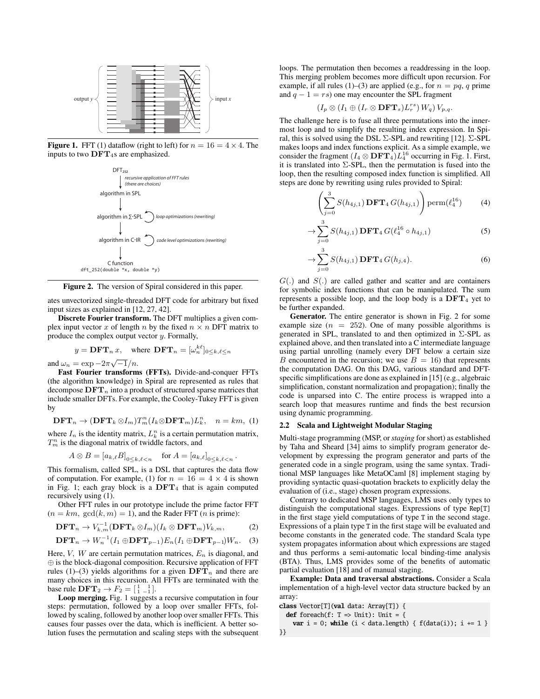

**Figure 1.** FFT [\(1\)](#page-2-0) dataflow (right to left) for  $n = 16 = 4 \times 4$ . The inputs to two  $\text{DFT}_4$ s are emphasized.

<span id="page-2-1"></span>

<span id="page-2-3"></span>Figure 2. The version of Spiral considered in this paper.

ates unvectorized single-threaded DFT code for arbitrary but fixed input sizes as explained in [\[12,](#page-9-18) [27,](#page-9-19) [42\]](#page-9-20).

Discrete Fourier transform. The DFT multiplies a given complex input vector x of length n by the fixed  $n \times n$  DFT matrix to produce the complex output vector y. Formally,

$$
y = \mathbf{DFT}_n x
$$
, where  $\mathbf{DFT}_n = [\omega_n^{k\ell}]_{0 \leq k,\ell \leq n}$ 

and  $\omega_n = \exp(-2\pi\sqrt{-1}/n)$ .

Fast Fourier transforms (FFTs). Divide-and-conquer FFTs (the algorithm knowledge) in Spiral are represented as rules that decompose  $\mathbf{DFT}_n$  into a product of structured sparse matrices that include smaller DFTs. For example, the Cooley-Tukey FFT is given by

<span id="page-2-0"></span>
$$
\text{DFT}_n \to (\text{DFT}_k \otimes I_m) T_m^n (I_k \otimes \text{DFT}_m) L_k^n, \quad n = km, (1)
$$

where  $I_n$  is the identity matrix,  $L_k^n$  is a certain permutation matrix,  $T_m^n$  is the diagonal matrix of twiddle factors, and

$$
A \otimes B = [a_{k,\ell}B]_{0 \le k,\ell < n} \quad \text{ for } A = [a_{k,\ell}]_{0 \le k,\ell < n} \, .
$$

This formalism, called SPL, is a DSL that captures the data flow of computation. For example, [\(1\)](#page-2-0) for  $n = 16 = 4 \times 4$  is shown in Fig. [1;](#page-2-1) each gray block is a  $DFT<sub>4</sub>$  that is again computed recursively using [\(1\)](#page-2-0).

Other FFT rules in our prototype include the prime factor FFT  $(n = km, \text{ gcd}(k, m) = 1)$ , and the Rader FFT (*n* is prime):

$$
\textbf{DFT}_n \to V_{k,m}^{-1}(\textbf{DFT}_k \otimes I_m)(I_k \otimes \textbf{DFT}_m)V_{k,m},
$$
 (2)

$$
\mathbf{DFT}_n \to W_n^{-1}(I_1 \oplus \mathbf{DFT}_{p-1})E_n(I_1 \oplus \mathbf{DFT}_{p-1})W_n.
$$
 (3)

Here,  $V$ ,  $W$  are certain permutation matrices,  $E_n$  is diagonal, and ⊕ is the block-diagonal composition. Recursive application of FFT rules [\(1\)](#page-2-0)–[\(3\)](#page-2-2) yields algorithms for a given  $\text{DFT}_n$  and there are many choices in this recursion. All FFTs are terminated with the base rule  $\text{DFT}_2 \rightarrow F_2 = \begin{bmatrix} 1 & 1 \\ 1 & -1 \end{bmatrix}$ .

Loop merging. Fig. [1](#page-2-1) suggests a recursive computation in four steps: permutation, followed by a loop over smaller FFTs, followed by scaling, followed by another loop over smaller FFTs. This causes four passes over the data, which is inefficient. A better solution fuses the permutation and scaling steps with the subsequent loops. The permutation then becomes a readdressing in the loop. This merging problem becomes more difficult upon recursion. For example, if all rules [\(1\)](#page-2-0)–[\(3\)](#page-2-2) are applied (e.g., for  $n = pq$ , q prime and  $q - 1 = rs$ ) one may encounter the SPL fragment

$$
(I_p \otimes (I_1 \oplus (I_r \otimes DFTs)Lrrs) Wq) Vp,q.
$$

The challenge here is to fuse all three permutations into the innermost loop and to simplify the resulting index expression. In Spi-ral, this is solved using the DSL Σ-SPL and rewriting [\[12\]](#page-9-18). Σ-SPL makes loops and index functions explicit. As a simple example, we consider the fragment  $(I_4 \otimes \mathbf{DFT}_4) L_4^{16}$  occurring in Fig. [1.](#page-2-1) First, it is translated into  $\Sigma$ -SPL, then the permutation is fused into the loop, then the resulting composed index function is simplified. All steps are done by rewriting using rules provided to Spiral:

<span id="page-2-4"></span>
$$
\left(\sum_{j=0}^{3} S(h_{4j,1}) \mathbf{DFT}_4 G(h_{4j,1})\right) \operatorname{perm}(\ell_4^{16}) \tag{4}
$$

$$
\rightarrow \sum_{j=0}^{3} S(h_{4j,1}) \mathbf{DFT}_4 G(\ell_4^{16} \circ h_{4j,1})
$$
 (5)

<span id="page-2-5"></span>
$$
\rightarrow \sum_{j=0}^{3} S(h_{4j,1}) \mathbf{DFT}_4 G(h_{j,4}). \tag{6}
$$

 $G(.)$  and  $S(.)$  are called gather and scatter and are containers for symbolic index functions that can be manipulated. The sum represents a possible loop, and the loop body is a  $DFT_4$  yet to be further expanded.

Generator. The entire generator is shown in Fig. [2](#page-2-3) for some example size  $(n = 252)$ . One of many possible algorithms is generated in SPL, translated to and then optimized in  $\Sigma$ -SPL as explained above, and then translated into a C intermediate language using partial unrolling (namely every DFT below a certain size B encountered in the recursion; we use  $B = 16$ ) that represents the computation DAG. On this DAG, various standard and DFTspecific simplifications are done as explained in [\[15\]](#page-9-0) (e.g., algebraic simplification, constant normalization and propagation); finally the code is unparsed into C. The entire process is wrapped into a search loop that measures runtime and finds the best recursion using dynamic programming.

#### <span id="page-2-6"></span>2.2 Scala and Lightweight Modular Staging

Multi-stage programming (MSP, or *staging* for short) as established by Taha and Sheard [\[34\]](#page-9-11) aims to simplify program generator development by expressing the program generator and parts of the generated code in a single program, using the same syntax. Traditional MSP languages like MetaOCaml [\[8\]](#page-9-25) implement staging by providing syntactic quasi-quotation brackets to explicitly delay the evaluation of (i.e., stage) chosen program expressions.

<span id="page-2-2"></span>Contrary to dedicated MSP languages, LMS uses only types to distinguish the computational stages. Expressions of type Rep[T] in the first stage yield computations of type T in the second stage. Expressions of a plain type T in the first stage will be evaluated and become constants in the generated code. The standard Scala type system propagates information about which expressions are staged and thus performs a semi-automatic local binding-time analysis (BTA). Thus, LMS provides some of the benefits of automatic partial evaluation [\[18\]](#page-9-26) and of manual staging.

Example: Data and traversal abstractions. Consider a Scala implementation of a high-level vector data structure backed by an array:

**class** Vector[T](**val** data: Array[T]) { **def** foreach(f:  $T \Rightarrow$  Unit): Unit = { **var**  $i = 0$ ; **while** ( $i <$  data.length) {  $f(data(i))$ ;  $i +1$  } }}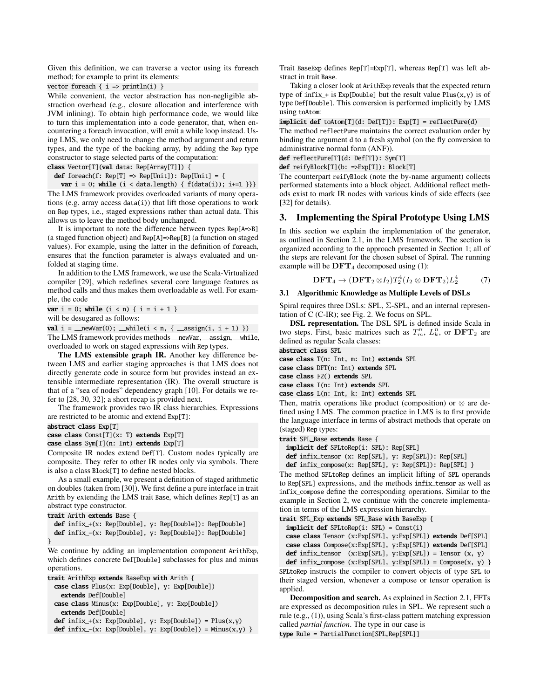Given this definition, we can traverse a vector using its foreach method; for example to print its elements:

vector foreach {  $i \Rightarrow$  println(i) }

While convenient, the vector abstraction has non-negligible abstraction overhead (e.g., closure allocation and interference with JVM inlining). To obtain high performance code, we would like to turn this implementation into a code generator, that, when encountering a foreach invocation, will emit a while loop instead. Using LMS, we only need to change the method argument and return types, and the type of the backing array, by adding the Rep type constructor to stage selected parts of the computation:

**class** Vector[T](**val** data: Rep[Array[T]]) {

**def** foreach(f: Rep[T] => Rep[Unit]): Rep[Unit] = {

**var**  $i = 0$ ; **while**  $(i < data.length) { f(data(i)) ; i+=1}$ The LMS framework provides overloaded variants of many operations (e.g. array access data $(i)$ ) that lift those operations to work on Rep types, i.e., staged expressions rather than actual data. This allows us to leave the method body unchanged.

It is important to note the difference between types Rep[A=>B] (a staged function object) and Rep[A]=>Rep[B] (a function on staged values). For example, using the latter in the definition of foreach, ensures that the function parameter is always evaluated and unfolded at staging time.

In addition to the LMS framework, we use the Scala-Virtualized compiler [\[29\]](#page-9-27), which redefines several core language features as method calls and thus makes them overloadable as well. For example, the code

**var**  $i = 0$ ; **while**  $(i < n) \{ i = i + 1 \}$ 

will be desugared as follows:

**val**  $i = \text{newVar}(0)$ ;  $\text{while}(i < n, \{ \text{assign}(i, i + 1) \})$ 

The LMS framework provides methods \_\_newVar, \_\_assign, \_\_while, overloaded to work on staged expressions with Rep types.

The LMS extensible graph IR. Another key difference between LMS and earlier staging approaches is that LMS does not directly generate code in source form but provides instead an extensible intermediate representation (IR). The overall structure is that of a "sea of nodes" dependency graph [\[10\]](#page-9-28). For details we refer to [\[28,](#page-9-12) [30,](#page-9-13) [32\]](#page-9-16); a short recap is provided next.

The framework provides two IR class hierarchies. Expressions are restricted to be atomic and extend Exp[T]:

**abstract class** Exp[T]

**case class** Const[T](x: T) **extends** Exp[T]

**case class** Sym[T](n: Int) **extends** Exp[T]

Composite IR nodes extend Def[T]. Custom nodes typically are composite. They refer to other IR nodes only via symbols. There is also a class Block[T] to define nested blocks.

As a small example, we present a definition of staged arithmetic on doubles (taken from [\[30\]](#page-9-13)). We first define a pure interface in trait Arith by extending the LMS trait Base, which defines Rep[T] as an abstract type constructor.

```
trait Arith extends Base {
```

```
def infix_+(x: Rep[Double], y: Rep[Double]): Rep[Double]
 def infix_-(x: Rep[Double], y: Rep[Double]): Rep[Double]
}
```
We continue by adding an implementation component ArithExp, which defines concrete Def[Double] subclasses for plus and minus operations.

```
trait ArithExp extends BaseExp with Arith {
```

```
case class Plus(x: Exp[Double], y: Exp[Double])
 extends Def[Double]
```
**case class** Minus(x: Exp[Double], y: Exp[Double]) **extends** Def[Double]

**def**  $\text{infix}_+(x: \text{Exp}[\text{Double}], y: \text{Exp}[\text{Double}]) = \text{Plus}(x, y)$ 

**def** infix\_-(x: Exp[Double], y: Exp[Double]) = Minus(x,y) }

Trait BaseExp defines Rep[T]=Exp[T], whereas Rep[T] was left abstract in trait Base.

Taking a closer look at ArithExp reveals that the expected return type of infix\_+ is  $Exp[Double]$  but the result value  $Plus(x, y)$  is of type Def[Double]. This conversion is performed implicitly by LMS using toAtom:

**implicit def** toAtom[T](d: Def[T]): Exp[T] = reflectPure(d)

The method reflectPure maintains the correct evaluation order by binding the argument d to a fresh symbol (on the fly conversion to administrative normal form (ANF)).

**def** reflectPure[T](d: Def[T]): Sym[T]

**def** reifyBlock[T](b: =>Exp[T]): Block[T]

The counterpart reifyBlock (note the by-name argument) collects performed statements into a block object. Additional reflect methods exist to mark IR nodes with various kinds of side effects (see [\[32\]](#page-9-16) for details).

# 3. Implementing the Spiral Prototype Using LMS

In this section we explain the implementation of the generator, as outlined in Section [2.1,](#page-1-0) in the LMS framework. The section is organized according to the approach presented in Section [1;](#page-0-0) all of the steps are relevant for the chosen subset of Spiral. The running example will be  $\text{DFT}_4$  decomposed using [\(1\)](#page-2-0):

$$
\mathbf{DFT}_4 \to (\mathbf{DFT}_2 \otimes I_2) T_2^4 (I_2 \otimes \mathbf{DFT}_2) L_2^4 \tag{7}
$$

#### <span id="page-3-0"></span>3.1 Algorithmic Knowledge as Multiple Levels of DSLs

Spiral requires three DSLs: SPL, Σ-SPL, and an internal representation of C (C-IR); see Fig. [2.](#page-2-3) We focus on SPL.

DSL representation. The DSL SPL is defined inside Scala in two steps. First, basic matrices such as  $T_m^n$ ,  $L_k^n$ , or  $\mathbf{DFT}_2$  are defined as regular Scala classes:

**abstract class** SPL

**case class** T(n: Int, m: Int) **extends** SPL

**case class** DFT(n: Int) **extends** SPL

```
case class F2() extends SPL
```
**case class** I(n: Int) **extends** SPL

**case class** L(n: Int, k: Int) **extends** SPL

Then, matrix operations like product (composition) or  $\otimes$  are defined using LMS. The common practice in LMS is to first provide the language interface in terms of abstract methods that operate on (staged) Rep types:

## **trait** SPL\_Base **extends** Base {

**implicit def** SPLtoRep(i: SPL): Rep[SPL]

**def** infix\_tensor (x: Rep[SPL], y: Rep[SPL]): Rep[SPL]

```
def infix_compose(x: Rep[SPL], y: Rep[SPL]): Rep[SPL] }
```
The method SPLtoRep defines an implicit lifting of SPL operands to Rep[SPL] expressions, and the methods infix\_tensor as well as infix\_compose define the corresponding operations. Similar to the example in Section [2,](#page-1-1) we continue with the concrete implementation in terms of the LMS expression hierarchy.

```
trait SPL_Exp extends SPL_Base with BaseExp {
```

```
implicit def SPLtoRep(i: SPL) = Const(i)
```

| case class Tensor (x:Exp[SPL], y:Exp[SPL]) extends Def[SPL]       |  |  |
|-------------------------------------------------------------------|--|--|
| case class $Compose(x:Exp[SEL], y:Exp[SEL])$ extends $Def[SPI]$   |  |  |
| <b>def</b> infix_tensor $(x:Exp[SPL], y:Exp[SPL]) = Tensor(x, y)$ |  |  |

**def** infix\_compose (x:Exp[SPL], y:Exp[SPL]) = Compose(x, y) } SPLtoRep instructs the compiler to convert objects of type SPL to their staged version, whenever a compose or tensor operation is applied.

Decomposition and search. As explained in Section [2.1,](#page-1-0) FFTs are expressed as decomposition rules in SPL. We represent such a rule (e.g., [\(1\)](#page-2-0)), using Scala's first-class pattern matching expression called *partial function*. The type in our case is

**type** Rule = PartialFunction[SPL,Rep[SPL]]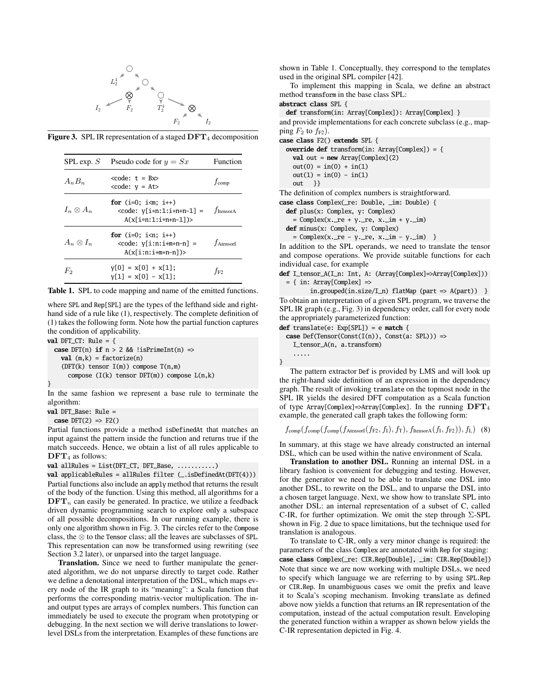

**Figure 3.** SPL IR representation of a staged  $\text{DFT}_4$  decomposition

<span id="page-4-0"></span>

| SPL exp. $S$      | Pseudo code for $y = Sx$                                                                           | <b>Function</b>       |
|-------------------|----------------------------------------------------------------------------------------------------|-----------------------|
| $A_n B_n$         | $<$ code: $t = Bx$<br>$<$ code: $v = At$                                                           | $f_{\rm comp}$        |
| $I_n \otimes A_n$ | for $(i=0: i\leq m: i++)$<br>$<$ code: $v[i*n:1:i*n+n-1] =$<br>$A(x[i*n:1:i*n+n-1])$               | $f_{\text{tensors}}$  |
| $A_n\otimes I_n$  | for $(i=0; i \le n; i++)$<br><code: v[i:n:i+m*n−n]="&lt;br"><math>A(x[i:n:i+m*n-n])</math></code:> | $f_{\text{AtensorI}}$ |
| $F_{2}$           | $v[0] = x[0] + x[1]$ :<br>$v[1] = x[0] - x[1]$ :                                                   | $f_{\rm F2}$          |

<span id="page-4-1"></span>Table 1. SPL to code mapping and name of the emitted functions.

where SPL and Rep[SPL] are the types of the lefthand side and righthand side of a rule like [\(1\)](#page-2-0), respectively. The complete definition of [\(1\)](#page-2-0) takes the following form. Note how the partial function captures the condition of applicability.

**val** DFT\_CT: Rule = { **case** DFT(n) **if** n > 2 && !isPrimeInt(n) => **val** (m,k) = factorize(n) (DFT(k) tensor I(m)) compose T(n,m) compose  $(I(k)$  tensor  $DFT(m)$ ) compose  $L(n,k)$ }

In the same fashion we represent a base rule to terminate the algorithm:

**val** DFT\_Base: Rule =

**case** DFT(2) => F2()

Partial functions provide a method isDefinedAt that matches an input against the pattern inside the function and returns true if the match succeeds. Hence, we obtain a list of all rules applicable to  $\text{DFT}_4$  as follows:

#### **val** allRules = List(DFT\_CT, DFT\_Base, ...........)

**val** applicableRules = allRules filter (\_.isDefinedAt(DFT(4))) Partial functions also include an apply method that returns the result of the body of the function. Using this method, all algorithms for a  $\text{DFT}_n$  can easily be generated. In practice, we utilize a feedback driven dynamic programming search to explore only a subspace of all possible decompositions. In our running example, there is only one algorithm shown in Fig. [3.](#page-4-0) The circles refer to the Compose class, the ⊗ to the Tensor class; all the leaves are subclasses of SPL. This representation can now be transformed using rewriting (see Section [3.2](#page-5-0) later), or unparsed into the target language.

Translation. Since we need to further manipulate the generated algorithm, we do not unparse directly to target code. Rather we define a denotational interpretation of the DSL, which maps every node of the IR graph to its "meaning": a Scala function that performs the corresponding matrix-vector multiplication. The inand output types are arrays of complex numbers. This function can immediately be used to execute the program when prototyping or debugging. In the next section we will derive translations to lowerlevel DSLs from the interpretation. Examples of these functions are shown in Table [1.](#page-4-1) Conceptually, they correspond to the templates used in the original SPL compiler [\[42\]](#page-9-20).

To implement this mapping in Scala, we define an abstract method transform in the base class SPL:

#### **abstract class** SPL {

**def** transform(in: Array[Complex]): Array[Complex] }

and provide implementations for each concrete subclass (e.g., mapping  $F_2$  to  $f_{F2}$ ).

**case class** F2() **extends** SPL {

```
override def transform(in: Array[Complex]) = {
 val out = new Array[Complex](2)
 out(0) = in(0) + in(1)out(1) = in(0) - in(1)out }}
```
The definition of complex numbers is straightforward.

```
case class Complex(_re: Double, _im: Double) {
```
**def** plus(x: Complex, y: Complex)

 $=$  Complex(x.\_re + y.\_re, x.\_im + y.\_im)

**def** minus(x: Complex, y: Complex)  $=$  Complex(x.\_re - y.\_re, x.\_im - y.\_im) }

In addition to the SPL operands, we need to translate the tensor and compose operations. We provide suitable functions for each individual case, for example

**def** I\_tensor\_A(I\_n: Int, A: (Array[Complex]=>Array[Complex]))

```
= \{ in: Array[Complex] \Rightarrow
```
}

in.grouped(in.size/I\_n) flatMap (part => A(part)) } To obtain an interpretation of a given SPL program, we traverse the SPL IR graph (e.g., Fig. [3\)](#page-4-0) in dependency order, call for every node the appropriately parameterized function:

```
def translate(e: Exp[SPL]) = e match {
  case Def(Tensor(Const(I(n)), Const(a: SPI)) \RightarrowI_tensor_A(n, a.transform)
    .....
```
The pattern extractor Def is provided by LMS and will look up the right-hand side definition of an expression in the dependency graph. The result of invoking translate on the topmost node in the SPL IR yields the desired DFT computation as a Scala function of type Array[Complex]=>Array[Complex]. In the running  $DFT_4$ example, the generated call graph takes the following form:

$$
f_{\text{comp}}(f_{\text{comp}}(f_{\text{comp}}(f_{\text{AtensorI}}(f_{F2}, f_1), f_T), f_{\text{ItensorA}}(f_1, f_{F2})), f_L)
$$
 (8)

In summary, at this stage we have already constructed an internal DSL, which can be used within the native environment of Scala.

Translation to another DSL. Running an internal DSL in a library fashion is convenient for debugging and testing. However, for the generator we need to be able to translate one DSL into another DSL, to rewrite on the DSL, and to unparse the DSL into a chosen target language. Next, we show how to translate SPL into another DSL: an internal representation of a subset of C, called C-IR, for further optimization. We omit the step through  $\Sigma$ -SPL shown in Fig. [2](#page-2-3) due to space limitations, but the technique used for translation is analogous.

To translate to C-IR, only a very minor change is required: the parameters of the class Complex are annotated with Rep for staging: **case class** Complex(\_re: CIR.Rep[Double], \_im: CIR.Rep[Double]) Note that since we are now working with multiple DSLs, we need to specify which language we are referring to by using SPL.Rep or CIR.Rep. In unambiguous cases we omit the prefix and leave it to Scala's scoping mechanism. Invoking translate as defined above now yields a function that returns an IR representation of the computation, instead of the actual computation result. Enveloping the generated function within a wrapper as shown below yields the C-IR representation depicted in Fig. [4.](#page-5-1)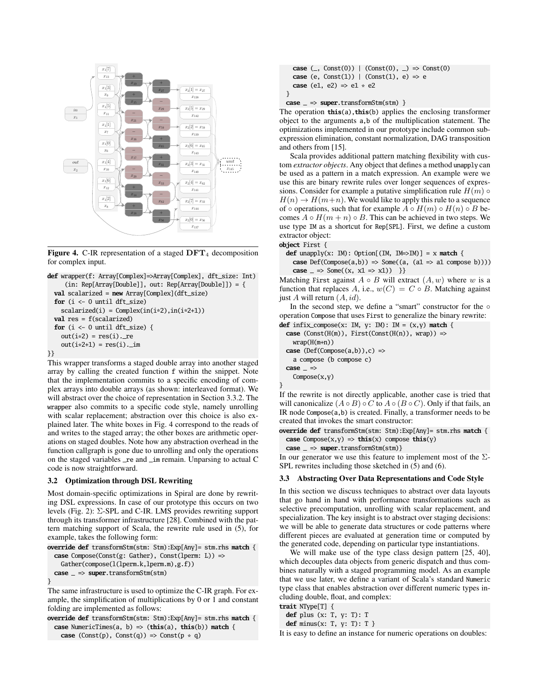

<span id="page-5-1"></span>Figure 4. C-IR representation of a staged  $DFT<sub>4</sub>$  decomposition for complex input.

```
def wrapper(f: Array[Complex]=>Array[Complex], dft_size: Int)
     (in: Rep[Array[Double]], out: Rep[Array[Double]]) = \{val scalarized = new Array[Complex](dft_size)
  for (i \leftarrow 0 \text{ until } df\_size)scalarized(i) = Complex(in(i*2),in(i*2+1))val res = f(scalarized)
  for (i \leftarrow 0 until dft_size) {
    out(i*2) = res(i).out(i*2+1) = res(i)._im
}}
```
This wrapper transforms a staged double array into another staged array by calling the created function f within the snippet. Note that the implementation commits to a specific encoding of complex arrays into double arrays (as shown: interleaved format). We will abstract over the choice of representation in Section [3.3.2.](#page-6-0) The wrapper also commits to a specific code style, namely unrolling with scalar replacement; abstraction over this choice is also explained later. The white boxes in Fig. [4](#page-5-1) correspond to the reads of and writes to the staged array; the other boxes are arithmetic operations on staged doubles. Note how any abstraction overhead in the function callgraph is gone due to unrolling and only the operations on the staged variables \_re and \_im remain. Unparsing to actual C code is now straightforward.

## <span id="page-5-0"></span>3.2 Optimization through DSL Rewriting

Most domain-specific optimizations in Spiral are done by rewriting DSL expressions. In case of our prototype this occurs on two levels (Fig. [2\)](#page-2-3): Σ-SPL and C-IR. LMS provides rewriting support through its transformer infrastructure [\[28\]](#page-9-12). Combined with the pattern matching support of Scala, the rewrite rule used in [\(5\)](#page-2-4), for example, takes the following form:

```
override def transformStm(stm: Stm):Exp[Any]= stm.rhs match {
 case Compose(Const(g: Gather), Const(lperm: L)) =>
    Gather(compose(l(lperm.k,lperm.m),g.f))
 case _ => super.transformStm(stm)
}
```
The same infrastructure is used to optimize the C-IR graph. For example, the simplification of multiplications by 0 or 1 and constant folding are implemented as follows:

```
override def transformStm(stm: Stm):Exp[Any]= stm.rhs match {
  case NumericTimes(a, b) \Rightarrow (this(a), this(b)) match {
    case (Const(p), Const(q)) \Rightarrow Const(p * q)
```
\n
$$
\text{case } (\_, \, \text{Const}(0)) \mid (\text{Const}(0), \_, \_) \Rightarrow \text{Const}(0)
$$
\n

\n\n $\text{case } (\mathrm{e}, \, \text{Const}(1)) \mid (\text{Const}(1), \, \mathrm{e}) \Rightarrow \mathrm{e}$ \n

\n\n $\text{case } (\mathrm{e1}, \, \mathrm{e2}) \Rightarrow \mathrm{e1} * \mathrm{e2}$ \n

**case** \_ => **super**.transformStm(stm) }

The operation **this**(a),**this**(b) applies the enclosing transformer object to the arguments a,b of the multiplication statement. The optimizations implemented in our prototype include common subexpression elimination, constant normalization, DAG transposition and others from [\[15\]](#page-9-0).

Scala provides additional pattern matching flexibility with custom *extractor objects*. Any object that defines a method unapply can be used as a pattern in a match expression. An example were we use this are binary rewrite rules over longer sequences of expressions. Consider for example a putative simplification rule  $H(m)$   $\circ$  $H(n) \to H(m+n)$ . We would like to apply this rule to a sequence of  $\circ$  operations, such that for example  $A \circ H(m) \circ H(n) \circ B$  becomes  $A \circ H(m + n) \circ B$ . This can be achieved in two steps. We use type IM as a shortcut for Rep[SPL]. First, we define a custom extractor object:

**object** First {

**def** unapply(x: IM): Option[(IM, IM=>IM)] = x match {

**case**  $Def(Compose(a,b)) \Rightarrow Some((a, (a1 \Rightarrow a1 \text{ compose } b))))$ **case**  $\Rightarrow$  Some((x, x1  $\Rightarrow$  x1)) }}

Matching First against  $A \circ B$  will extract  $(A, w)$  where w is a function that replaces A, i.e.,  $w(C) = C \circ B$ . Matching against just  $A$  will return  $(A, id)$ .

In the second step, we define a "smart" constructor for the ◦ operation Compose that uses First to generalize the binary rewrite:

```
def infix_compose(x: IM, y: IM): IM = (x,y) match {
  case (Const(H(m)), First(Const(H(n)), wrap)) =>
    wrap(H(m+n))case (\text{Def}( \text{Compose}(a,b)), c) =>
    a compose (b compose c)
  \csc =Compose(x, y)}
```
If the rewrite is not directly applicable, another case is tried that will canonicalize  $(A \circ B) \circ C$  to  $A \circ (B \circ C)$ . Only if that fails, an IR node Compose(a,b) is created. Finally, a transformer needs to be created that invokes the smart constructor:

**override def** transformStm(stm: Stm):Exp[Any]= stm.rhs **match** { **case**  $\text{Compose}(x, y) \Rightarrow \text{this}(x) \text{ compose this}(y)$ **case** \_ => **super**.transformStm(stm)}

In our generator we use this feature to implement most of the  $\Sigma$ -SPL rewrites including those sketched in [\(5\)](#page-2-4) and [\(6\)](#page-2-5).

#### 3.3 Abstracting Over Data Representations and Code Style

In this section we discuss techniques to abstract over data layouts that go hand in hand with performance transformations such as selective precomputation, unrolling with scalar replacement, and specialization. The key insight is to abstract over staging decisions: we will be able to generate data structures or code patterns where different pieces are evaluated at generation time or computed by the generated code, depending on particular type instantiations.

We will make use of the type class design pattern [\[25,](#page-9-29) [40\]](#page-9-24), which decouples data objects from generic dispatch and thus combines naturally with a staged programming model. As an example that we use later, we define a variant of Scala's standard Numeric type class that enables abstraction over different numeric types including double, float, and complex:

**trait** NType[T] {

- **def** plus (x: T, y: T): T
- **def** minus(x: T, y: T): T }

It is easy to define an instance for numeric operations on doubles: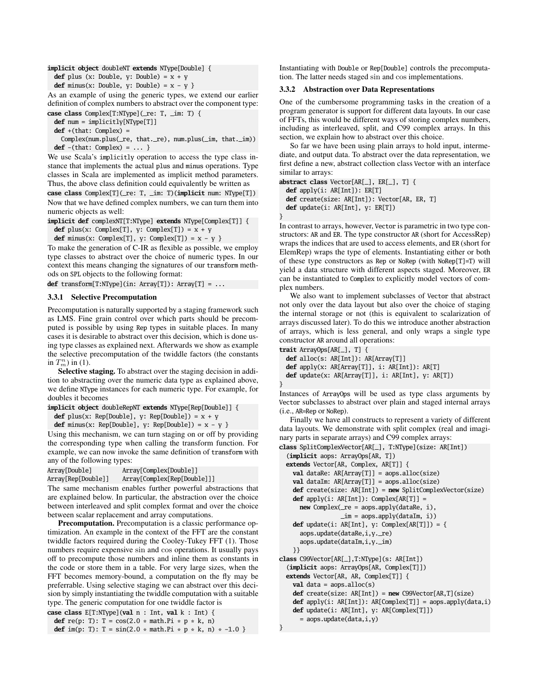**implicit object** doubleNT **extends** NType[Double] {

**def** plus (x: Double, y: Double) =  $x + y$ 

**def** minus(x: Double, y: Double) =  $x - y$  }

As an example of using the generic types, we extend our earlier definition of complex numbers to abstract over the component type: **case class** Complex[T:NType](\_re: T, \_im: T) {

**def** num = implicitly[NType[T]]

**def** +(that: Complex) =

Complex(num.plus(\_re, that.\_re), num.plus(\_im, that.\_im)) **def**  $-($  that: Complex $) = ...$ }

We use Scala's implicitly operation to access the type class instance that implements the actual plus and minus operations. Type classes in Scala are implemented as implicit method parameters. Thus, the above class definition could equivalently be written as

**case class** Complex[T](\_re: T, \_im: T)(**implicit** num: NType[T]) Now that we have defined complex numbers, we can turn them into numeric objects as well:

```
implicit def complexNT[T:NType] extends NType[Complex[T]] {
```
**def** plus(x: Complex[T],  $y$ : Complex[T]) =  $x + y$ 

**def** minus(x: Complex[T],  $y$ : Complex[T]) =  $x - y$  }

To make the generation of C-IR as flexible as possible, we employ type classes to abstract over the choice of numeric types. In our context this means changing the signatures of our transform methods on SPL objects to the following format:

**def** transform[T:NType](in: Array[T]): Array[T] = ...

#### 3.3.1 Selective Precomputation

Precomputation is naturally supported by a staging framework such as LMS. Fine grain control over which parts should be precomputed is possible by using Rep types in suitable places. In many cases it is desirable to abstract over this decision, which is done using type classes as explained next. Afterwards we show as example the selective precomputation of the twiddle factors (the constants in  $T_m^n$ ) in [\(1\)](#page-2-0).

Selective staging. To abstract over the staging decision in addition to abstracting over the numeric data type as explained above, we define NType instances for each numeric type. For example, for doubles it becomes

**implicit object** doubleRepNT **extends** NType[Rep[Double]] {

**def**  $plus(x: Rep[Double], y: Rep[Double]) = x + y$ 

**def** minus(x: Rep[Double],  $y$ : Rep[Double]) =  $x - y$  }

Using this mechanism, we can turn staging on or off by providing the corresponding type when calling the transform function. For example, we can now invoke the same definition of transform with any of the following types:

```
Array[Double] Array[Complex[Double]]
```

```
Array[Rep[Double]] Array[Complex[Rep[Double]]]
```
The same mechanism enables further powerful abstractions that are explained below. In particular, the abstraction over the choice between interleaved and split complex format and over the choice between scalar replacement and array computations.

Precomputation. Precomputation is a classic performance optimization. An example in the context of the FFT are the constant twiddle factors required during the Cooley-Tukey FFT [\(1\)](#page-2-0). Those numbers require expensive sin and cos operations. It usually pays off to precompute those numbers and inline them as constants in the code or store them in a table. For very large sizes, when the FFT becomes memory-bound, a computation on the fly may be preferrable. Using selective staging we can abstract over this decision by simply instantiating the twiddle computation with a suitable type. The generic computation for one twiddle factor is

**case class** E[T:NType](**val** n : Int, **val** k : Int) { **def** re(p: T):  $T = cos(2.0 * math.Pi * p * k, n)$ 

```
def im(p: T): T = sin(2.0 * math.Pi * p * k, n) * -1.0 }
```
Instantiating with Double or Rep[Double] controls the precomputation. The latter needs staged sin and cos implementations.

#### <span id="page-6-0"></span>3.3.2 Abstraction over Data Representations

One of the cumbersome programming tasks in the creation of a program generator is support for different data layouts. In our case of FFTs, this would be different ways of storing complex numbers, including as interleaved, split, and C99 complex arrays. In this section, we explain how to abstract over this choice.

So far we have been using plain arrays to hold input, intermediate, and output data. To abstract over the data representation, we first define a new, abstract collection class Vector with an interface similar to arrays:

```
abstract class Vector[AR[_], ER[_], T] {
 def apply(i: AR[Int]): ER[T]
 def create(size: AR[Int]): Vector[AR, ER, T]
 def update(i: AR[Int], y: ER[T])
```
In contrast to arrays, however, Vector is parametric in two type constructors: AR and ER. The type constructor AR (short for AccessRep) wraps the indices that are used to access elements, and ER (short for ElemRep) wraps the type of elements. Instantiating either or both of these type constructors as Rep or NoRep (with NoRep[T]=T) will yield a data structure with different aspects staged. Moreover, ER can be instantiated to Complex to explicitly model vectors of complex numbers.

We also want to implement subclasses of Vector that abstract not only over the data layout but also over the choice of staging the internal storage or not (this is equivalent to scalarization of arrays discussed later). To do this we introduce another abstraction of arrays, which is less general, and only wraps a single type constructor AR around all operations:

```
trait ArrayOps[AR[_], T] {
```
}

}

```
def alloc(s: AR[Int]): AR[Array[T]]
def apply(x: AR[Array[T]], i: AR[Int]): AR[T]
def update(x: AR[Array[T]], i: AR[Int], y: AR[T])
```
Instances of ArrayOps will be used as type class arguments by Vector subclasses to abstract over plain and staged internal arrays (i.e., AR=Rep or NoRep).

Finally we have all constructs to represent a variety of different data layouts. We demonstrate with split complex (real and imaginary parts in separate arrays) and C99 complex arrays:

```
class SplitComplexVector[AR[_], T:NType](size: AR[Int])
  (implicit aops: ArrayOps[AR, T])
  extends Vector[AR, Complex, AR[T]] {
    val dataRe: AR[Array[T]] = aops.alloc(size)
    val dataIm: AR[Array[T]] = aops.alloc(size)
    def create(size: AR[Int]) = new SplitComplexVector(size)
    def apply(i: AR[Int]): Complex[AR[T]] =
      new Complex(_re = aops.apply(dataRe, i),
                  _im = aops.apply(dataIm, i))
    def update(i: AR[Int], y: Complex[AR[T]]) = {
      aops.update(dataRe,i,y._re)
      aops.update(dataIm,i,y._im)
    }}
class C99Vector[AR[_],T:NType](s: AR[Int])
  (implicit aops: ArrayOps[AR, Complex[T]])
  extends Vector[AR, AR, Complex[T]] {
    val data = aops.alloc(s)def create(size: AR[Int]) = new C99Vector[AR,T](size)
    def apply(i: AR[Int]): AR[Complex[T]] = aops.apply(data,i)
    def update(i: AR[Int], y: AR[Complex[T]])
      = aops.update(data,i,y)
}
```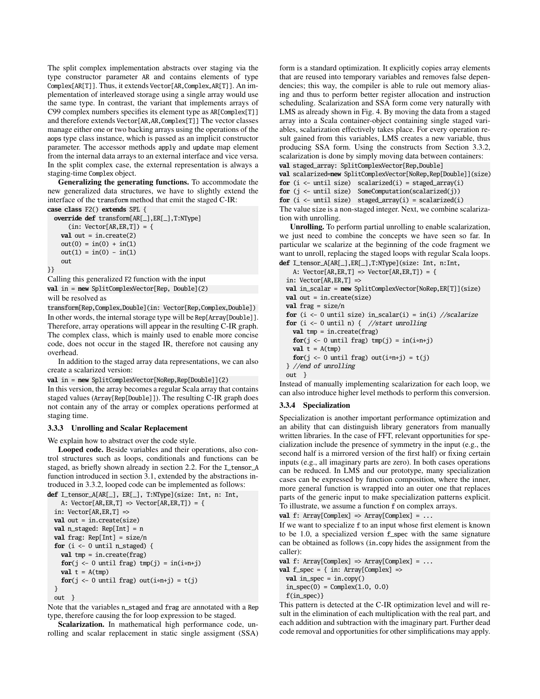The split complex implementation abstracts over staging via the type constructor parameter AR and contains elements of type Complex[AR[T]]. Thus, it extends Vector[AR,Complex,AR[T]]. An implementation of interleaved storage using a single array would use the same type. In contrast, the variant that implements arrays of C99 complex numbers specifies its element type as AR[Complex[T]] and therefore extends Vector[AR,AR,Complex[T]] The vector classes manage either one or two backing arrays using the operations of the aops type class instance, which is passed as an implicit constructor parameter. The accessor methods apply and update map element from the internal data arrays to an external interface and vice versa. In the split complex case, the external representation is always a staging-time Complex object.

Generalizing the generating functions. To accommodate the new generalized data structures, we have to slightly extend the interface of the transform method that emit the staged C-IR:

```
case class F2() extends SPL {
 override def transform[AR[_],ER[_],T:NType]
      (in: Vector[AR, ER, T]) = \{val out = in.create(2)
   out(0) = in(0) + in(1)out(1) = in(0) - in(1)out
}}
```
Calling this generalized F2 function with the input **val** in = **new** SplitComplexVector[Rep, Double](2)

will be resolved as

transform[Rep,Complex,Double](in: Vector[Rep,Complex,Double]) In other words, the internal storage type will be Rep[Array[Double]]. Therefore, array operations will appear in the resulting C-IR graph. The complex class, which is mainly used to enable more concise code, does not occur in the staged IR, therefore not causing any overhead.

In addition to the staged array data representations, we can also create a scalarized version:

```
val in = new SplitComplexVector[NoRep,Rep[Double]](2)
```
In this version, the array becomes a regular Scala array that contains staged values (Array[Rep[Double]]). The resulting C-IR graph does not contain any of the array or complex operations performed at staging time.

## 3.3.3 Unrolling and Scalar Replacement

We explain how to abstract over the code style.

Looped code. Beside variables and their operations, also control structures such as loops, conditionals and functions can be staged, as briefly shown already in section [2.2.](#page-2-6) For the I\_tensor\_A function introduced in section [3.1,](#page-3-0) extended by the abstractions introduced in [3.3.2,](#page-6-0) looped code can be implemented as follows:

```
def I_tensor_A[AR[_], ER[_], T:NType](size: Int, n: Int,
    A: Vector[AR, ER, T] \Rightarrow Vector[AR, ER, T]) = \{in: Vector[AR, ER, T] \Rightarrowval out = in.create(size)
  val n_staged: Rep[Int] = n
  val frag: Rep[Int] = size/n
  for (i \leftarrow 0 \text{ until } n_staged) {
    val tmp = in.create(frag)
    for(j \leftarrow 0 \text{ until frag}) \text{ tmp}(j) = in(i*n+j)val_t = A(tmp)for(j \leftarrow 0 until frag) out(i * n + j) = t(j)
  }
  out }
```
Note that the variables n\_staged and frag are annotated with a Rep type, therefore causing the for loop expression to be staged.

Scalarization. In mathematical high performance code, unrolling and scalar replacement in static single assigment (SSA) form is a standard optimization. It explicitly copies array elements that are reused into temporary variables and removes false dependencies; this way, the compiler is able to rule out memory aliasing and thus to perform better register allocation and instruction scheduling. Scalarization and SSA form come very naturally with LMS as already shown in Fig. [4.](#page-5-1) By moving the data from a staged array into a Scala container-object containing single staged variables, scalarization effectively takes place. For every operation result gained from this variables, LMS creates a new variable, thus producing SSA form. Using the constructs from Section [3.3.2,](#page-6-0) scalarization is done by simply moving data between containers:

**val** staged\_array: SplitComplexVector[Rep,Double]

**val** scalarized=**new** SplitComplexVector[NoRep,Rep[Double]](size) **for**  $(i \leftarrow \text{until size})$  scalarized $(i) = \text{staged\_array}(i)$ **for** (j <- until size) SomeComputation(scalarized(j)) **for**  $(i \leftarrow \text{until size})$  staged\_array $(i)$  = scalarized $(i)$ The value size is a non-staged integer. Next, we combine scalarization with unrolling.

Unrolling. To perform partial unrolling to enable scalarization, we just need to combine the concepts we have seen so far. In particular we scalarize at the beginning of the code fragment we want to unroll, replacing the staged loops with regular Scala loops. **def** I\_tensor\_A[AR[\_],ER[\_],T:NType](size: Int, n:Int,

```
A: Vector[AR, ER, T] \Rightarrow Vector[AR, ER, T]) = \{in: Vector[AR,ER,T] =>
val in_scalar = new SplitComplexVector[NoRep,ER[T]](size)
val out = in.create(size)
val frag = size/n
for (i \leftarrow 0 until size) in_scalar(i) = in(i) //scalarize
for (i <- 0 until n) { //start unrolling
  val tmp = in.create(frag)
  for(j \leftarrow 0 until frag) tmp(j) = in(i*n+j)val t = A(tmp)for(j \leftarrow 0 until frag) out(i * n + j) = t(j)
} //end of unrolling
out }
```
Instead of manually implementing scalarization for each loop, we can also introduce higher level methods to perform this conversion.

## 3.3.4 Specialization

Specialization is another important performance optimization and an ability that can distinguish library generators from manually written libraries. In the case of FFT, relevant opportunities for specialization include the presence of symmetry in the input (e.g., the second half is a mirrored version of the first half) or fixing certain inputs (e.g., all imaginary parts are zero). In both cases operations can be reduced. In LMS and our prototype, many specialization cases can be expressed by function composition, where the inner, more general function is wrapped into an outer one that replaces parts of the generic input to make specialization patterns explicit. To illustrate, we assume a function f on complex arrays.

**val**  $f: Array[Complex] \Rightarrow Array[Complex] = ...$ 

If we want to specialize f to an input whose first element is known to be 1.0, a specialized version f\_spec with the same signature can be obtained as follows (in.copy hides the assignment from the caller):

```
val f: Array[Complex] \Rightarrow Array[Complex] = \ldots
```
**val**  $f_{\text{p}} = \{ in: \text{Array}[\text{Complex}] \Rightarrow$ **val** in\_spec = in.copy()

```
in\_spec(0) = Complex(1.0, 0.0)
```
f(in\_spec)}

This pattern is detected at the C-IR optimization level and will result in the elimination of each multiplication with the real part, and each addition and subtraction with the imaginary part. Further dead code removal and opportunities for other simplifications may apply.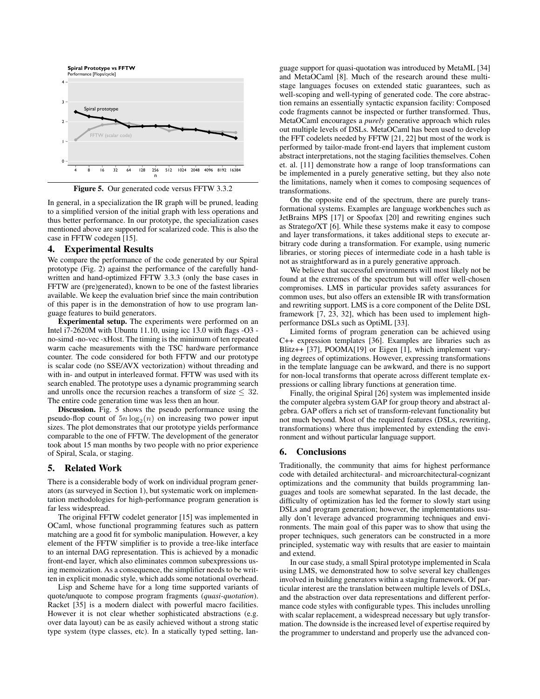

<span id="page-8-1"></span>Figure 5. Our generated code versus FFTW 3.3.2

In general, in a specialization the IR graph will be pruned, leading to a simplified version of the initial graph with less operations and thus better performance. In our prototype, the specialization cases mentioned above are supported for scalarized code. This is also the case in FFTW codegen [\[15\]](#page-9-0).

## 4. Experimental Results

We compare the performance of the code generated by our Spiral prototype (Fig. [2\)](#page-2-3) against the performance of the carefully handwritten and hand-optimized FFTW 3.3.3 (only the base cases in FFTW are (pre)generated), known to be one of the fastest libraries available. We keep the evaluation brief since the main contribution of this paper is in the demonstration of how to use program language features to build generators.

Experimental setup. The experiments were performed on an Intel i7-2620M with Ubuntu 11.10, using icc 13.0 with flags -O3 no-simd -no-vec -xHost. The timing is the minimum of ten repeated warm cache measurements with the TSC hardware performance counter. The code considered for both FFTW and our prototype is scalar code (no SSE/AVX vectorization) without threading and with in- and output in interleaved format. FFTW was used with its search enabled. The prototype uses a dynamic programming search and unrolls once the recursion reaches a transform of size  $\leq 32$ . The entire code generation time was less then an hour.

Discussion. Fig. [5](#page-8-1) shows the pseudo performance using the pseudo-flop count of  $5n \log_2(n)$  on increasing two power input sizes. The plot demonstrates that our prototype yields performance comparable to the one of FFTW. The development of the generator took about 15 man months by two people with no prior experience of Spiral, Scala, or staging.

# <span id="page-8-0"></span>5. Related Work

There is a considerable body of work on individual program generators (as surveyed in Section [1\)](#page-0-0), but systematic work on implementation methodologies for high-performance program generation is far less widespread.

The original FFTW codelet generator [\[15\]](#page-9-0) was implemented in OCaml, whose functional programming features such as pattern matching are a good fit for symbolic manipulation. However, a key element of the FFTW simplifier is to provide a tree-like interface to an internal DAG representation. This is achieved by a monadic front-end layer, which also eliminates common subexpressions using memoization. As a consequence, the simplifier needs to be written in explicit monadic style, which adds some notational overhead.

Lisp and Scheme have for a long time supported variants of quote/unquote to compose program fragments (*quasi-quotation*). Racket [\[35\]](#page-9-30) is a modern dialect with powerful macro facilities. However it is not clear whether sophisticated abstractions (e.g. over data layout) can be as easily achieved without a strong static type system (type classes, etc). In a statically typed setting, language support for quasi-quotation was introduced by MetaML [\[34\]](#page-9-11) and MetaOCaml [\[8\]](#page-9-25). Much of the research around these multistage languages focuses on extended static guarantees, such as well-scoping and well-typing of generated code. The core abstraction remains an essentially syntactic expansion facility: Composed code fragments cannot be inspected or further transformed. Thus, MetaOCaml encourages a *purely* generative approach which rules out multiple levels of DSLs. MetaOCaml has been used to develop the FFT codelets needed by FFTW [\[21,](#page-9-31) [22\]](#page-9-32) but most of the work is performed by tailor-made front-end layers that implement custom abstract interpretations, not the staging facilities themselves. Cohen et. al. [\[11\]](#page-9-33) demonstrate how a range of loop transformations can be implemented in a purely generative setting, but they also note the limitations, namely when it comes to composing sequences of transformations.

On the opposite end of the spectrum, there are purely transformational systems. Examples are language workbenches such as JetBrains MPS [\[17\]](#page-9-34) or Spoofax [\[20\]](#page-9-35) and rewriting engines such as Stratego/XT [\[6\]](#page-9-36). While these systems make it easy to compose and layer transformations, it takes additional steps to execute arbitrary code during a transformation. For example, using numeric libraries, or storing pieces of intermediate code in a hash table is not as straightforward as in a purely generative approach.

We believe that successful environments will most likely not be found at the extremes of the spectrum but will offer well-chosen compromises. LMS in particular provides safety assurances for common uses, but also offers an extensible IR with transformation and rewriting support. LMS is a core component of the Delite DSL framework [\[7,](#page-9-14) [23,](#page-9-37) [32\]](#page-9-16), which has been used to implement highperformance DSLs such as OptiML [\[33\]](#page-9-38).

Limited forms of program generation can be achieved using C++ expression templates [\[36\]](#page-9-39). Examples are libraries such as Blitz++ [\[37\]](#page-9-40), POOMA[\[19\]](#page-9-41) or Eigen [\[1\]](#page-9-2), which implement varying degrees of optimizations. However, expressing transformations in the template language can be awkward, and there is no support for non-local transforms that operate across different template expressions or calling library functions at generation time.

Finally, the original Spiral [\[26\]](#page-9-4) system was implemented inside the computer algebra system GAP for group theory and abstract algebra. GAP offers a rich set of transform-relevant functionality but not much beyond. Most of the required features (DSLs, rewriting, transformations) where thus implemented by extending the environment and without particular language support.

## 6. Conclusions

Traditionally, the community that aims for highest performance code with detailed architectural- and microarchitectural-cognizant optimizations and the community that builds programming languages and tools are somewhat separated. In the last decade, the difficulty of optimization has led the former to slowly start using DSLs and program generation; however, the implementations usually don't leverage advanced programming techniques and environments. The main goal of this paper was to show that using the proper techniques, such generators can be constructed in a more principled, systematic way with results that are easier to maintain and extend.

In our case study, a small Spiral prototype implemented in Scala using LMS, we demonstrated how to solve several key challenges involved in building generators within a staging framework. Of particular interest are the translation between multiple levels of DSLs, and the abstraction over data representations and different performance code styles with configurable types. This includes unrolling with scalar replacement, a widespread necessary but ugly transformation. The downside is the increased level of expertise required by the programmer to understand and properly use the advanced con